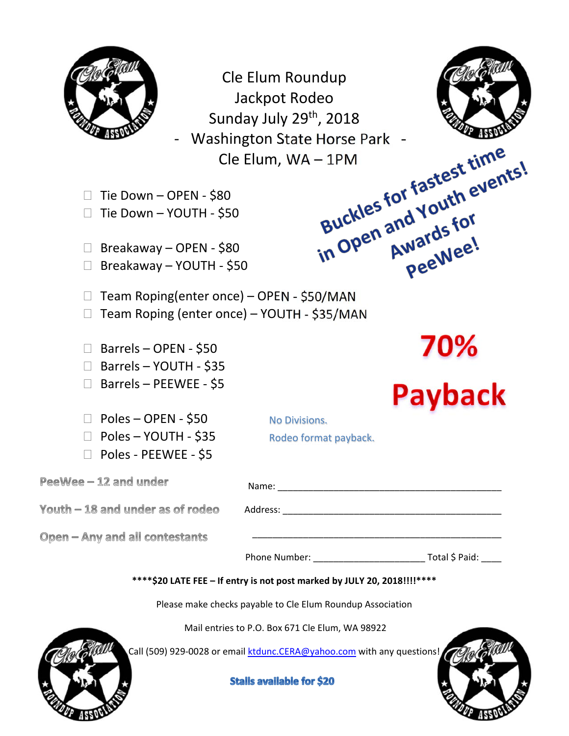

Cle Elum Roundup Jackpot Rodeo Sunday July 29<sup>th</sup>, 2018 Washington State Horse Park -<br>
Cle Elum, WA – 1PM<br>
EN - \$80<br>
JTH - \$50 Cle Elum, WA – 1PM<br>80<br>\$50<br>\$80<br>- \$50



□ Tie Down – YOUTH - \$50

 $\Box$  Breakaway – OPEN - \$80

□ Breakaway – YOUTH - \$50

□ Team Roping(enter once) – OPEN - \$50/MAN

□ Team Roping (enter once) – YOUTH - \$35/MAN

- $\Box$  Barrels OPEN \$50
- □ Barrels YOUTH \$35
- □ Barrels PEEWEE \$5
- $\Box$  Poles OPEN \$50
- □ Poles YOUTH \$35

□ Poles - PEEWEE - \$5

No Divisions. Rodeo format payback.

PeeWee - 12 and under

 $\text{Youth} - 18$  and under as of rodeo  $\blacksquare$  Address:

| Name:    |  |  |  |
|----------|--|--|--|
|          |  |  |  |
| Addrocc. |  |  |  |

\_\_\_\_\_\_\_\_\_\_\_\_\_\_\_\_\_\_\_\_\_\_\_\_\_\_\_\_\_\_\_\_\_\_\_\_\_\_\_\_\_\_\_\_\_\_\_\_\_

Open - Any and all contestants

Phone Number: \_\_\_\_\_\_\_\_\_\_\_\_\_\_\_\_\_\_\_\_\_\_ Total \$ Paid: \_\_\_\_

**\*\*\*\*\$20 LATE FEE – If entry is not post marked by JULY 20, 2018!!!!\*\*\*\***

Please make checks payable to Cle Elum Roundup Association

Mail entries to P.O. Box 671 Cle Elum, WA 98922

Call (509) 929-0028 or email ktdunc.CERA@yahoo.com with any questions!

**Stalls available for \$20** 





Wards .<br>PeeWee!

70%<br>Payback